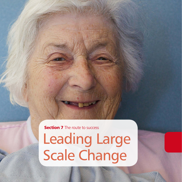Leading Large Scale Change **Section 7** The route to success

11,11,11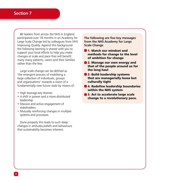# **Section 7**

80 leaders from across the NHS in England participated over 18 months in an Academy for Large Scale Change led by colleagues from NHS Improving Quality. Against this background the following learning is shared with you to support your local efforts to help you make changes at scale and pace that will benefit many many patients, carers and their families rather than the few.

Large scale change can be defined as 'the emergent process of mobilising a large collection of individuals, groups and organisations' towards a vision of a fundamentally new future state by means of:

- High leverage key themes
- A shift in power and a more distributed leadership
- Massive and active engagement of stakeholders
- Mutually reinforcing changes in multiple systems and processes.

Done properly this leads to such deep changes in attitudes,beliefs and behaviours that sustainability becomes inherent.

**The following are five key messages from the NHS Academy for Large Scale Change**

- **1. Match our mindset and** methods for change to the level of ambition for change
- **2. Manage our own energy and** that of the people around us for the long haul
- **3. Build leadership systems** that are managerially loose but culturally tight
- **6** 4. Redefine leadership boundaries within the NHS system
- **5. Act to accelerate large scale** change to a revolutionary pace.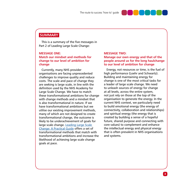

## **SUMMARY**

This is a summary of the five messages in Part 2 of Leading Large Scale Change:

#### **MESSAGE ONE:**

## **Match our mindset and methods for change to our level of ambition for change**

Currently, many NHS provider organisations are facing unprecedented challenges to improve quality and reduce costs. The scale and pace of change they are seeking is large scale, in line with the definition used by the NHS Academy for Large Scale Change. We have to match these transformational ambitions for change with change methods and a mindset that is also transformational in nature. If we have transformational ambitions but we utilise our existing improvement methods, many of which are not designed to create transformational change, the outcome is likely to be underachievement of goals for large scale change. [Leading Large Scale](http://www.nhsiq.nhs.uk/8530.aspx)  [Change: A Practical Guide](http://www.nhsiq.nhs.uk/8530.aspx) offers a set of transformational methods that match with transformational ambitions and increase the likelihood of achieving large scale change goals at pace.

#### **MESSAGE TWO:**

### **Manage our own energy and that of the people around us for the long haulchange to our level of ambition for change**

Energy, not resources or time, is the fuel of high performance (Loehr and Schwartz). Building and maintaining energy for change is one of the most critical tasks for a leader of large scale change. We need to unleash sources of energy for change at all levels, across the entire system, not just rely on those at the top of the organisation to generate the energy. In the current NHS context, we particularly need to build emotional energy (the energy of connectivity, collaboration and relationships) and spiritual energy (the energy that is created by building a sense of a hopeful future, shared purpose and connecting with core values) to complement and enhance the intellectual energy and physical energy that is often prevalent in NHS organisations and systems.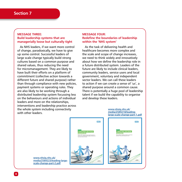### **MESSAGE THREE: Build leadership systems that are managerially loose but culturally tight**

As NHS leaders, if we want more control of change, paradoxically, we have to give up some control. Successful leaders of large scale change typically build strong cultures based on a common purpose and shared values, thus reducing the need for micromanagement. They are likely to have built their efforts on a platform of commitment (collective action towards a different future and shared purpose) rather than through compliance with new policies, payment systems or operating rules. They are also likely to be working through a distributed leadership system focussing less on the behaviours and actions of individual leaders and more on the relationships, interventions and leadership practice across the whole system including connectivity with other leaders.

#### **MESSAGE FOUR: Redefine the boundaries of leadership within the 'NHS system'**

As the task of delivering health and healthcare becomes more complex and the scale and scope of change increases, we need to think widely and innovatively about how we define the leadership role in a future distributed system. Leaders of the future are likely to include clinical leaders, community leaders, service users and local government, voluntary and independent sector leaders. We can call these leaders to action if we can create a sense of 'us', a shared purpose around a common cause. There is potentially a huge pool of leadership talent if we build the capability to organise and develop these leaders.

#### **[www.nhsiq.nhs.uk/](http://www.nhsiq.nhs.uk/media/2589218/leading-large-scale-change-part-1.pdf) [media/2589218/leading](http://www.nhsiq.nhs.uk/media/2589218/leading-large-scale-change-part-1.pdf)[large-scale-change-part-1.pdf](http://www.nhsiq.nhs.uk/media/2589218/leading-large-scale-change-part-1.pdf)**



**[www.nhsiq.nhs.uk/](http://www.nhsiq.nhs.uk/media/2589223/leading-large-scale-change-part-2.pdf) [media/2589223/leading-large](http://www.nhsiq.nhs.uk/media/2589223/leading-large-scale-change-part-2.pdf)[scale-change-part-2.pdf](http://www.nhsiq.nhs.uk/media/2589223/leading-large-scale-change-part-2.pdf)**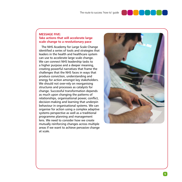

## **MESSAGE FIVE: Take actions that will accelerate large scale change to a revolutionary pace**

The NHS Academy for Large Scale Change identified a series of tools and strategies that leaders in the health and healthcare system can use to accelerate large scale change. We can connect NHS leadership tasks to a higher purpose and a deeper meaning, creating powerful narratives that frame the challenges that the NHS faces in ways that produce conviction, understanding and energy for action amongst key stakeholders. We should not over-rely on reorganising structures and processes as catalysts for change. Successful transformation depends as much upon changing the patterns of relationships, organisational power, conflict, decision-making and learning that underpin behaviour in organisational systems. We can organise for action using a complex adaptive systems perspective as well as a traditional programme planning and management lens. We need to consider how we create mutually reinforcing changes across multiple areas if we want to achieve pervasive change at scale.

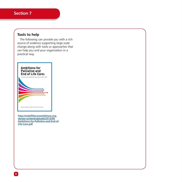# **Section 7**

# **Tools to help**

The following can provide you with a rich source of evidence supporting large scale change along with tools or approaches that can help you and your organisation in a practical way.



**[http://endoflifecareambitions.org.](http://endoflifecareambitions.org.uk/wp-content/uploads/2015/09/Ambitions-for-Palliative-and-End-of-Life-Care.pdf) [uk/wp-content/uploads/2015/09/](http://endoflifecareambitions.org.uk/wp-content/uploads/2015/09/Ambitions-for-Palliative-and-End-of-Life-Care.pdf) [Ambitions-for-Palliative-and-End-of-](http://endoflifecareambitions.org.uk/wp-content/uploads/2015/09/Ambitions-for-Palliative-and-End-of-Life-Care.pdf)[Life-Care.pdf](http://endoflifecareambitions.org.uk/wp-content/uploads/2015/09/Ambitions-for-Palliative-and-End-of-Life-Care.pdf)**